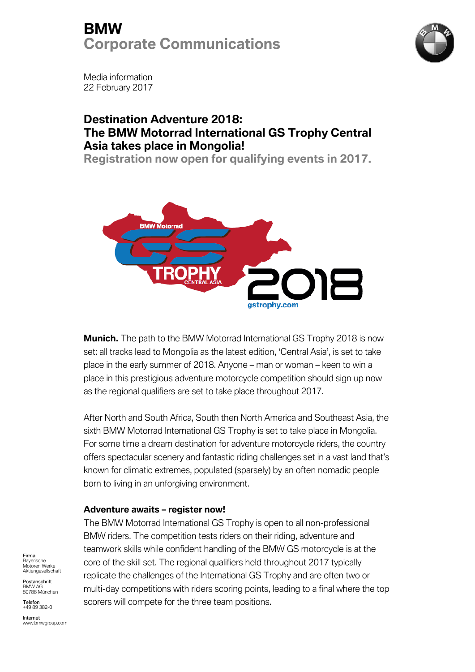### **BMW Corporate Communications**



Media information 22 February 2017

### **Destination Adventure 2018: The BMW Motorrad International GS Trophy Central Asia takes place in Mongolia!**

**Registration now open for qualifying events in 2017.**



**Munich.** The path to the BMW Motorrad International GS Trophy 2018 is now set: all tracks lead to Mongolia as the latest edition, 'Central Asia', is set to take place in the early summer of 2018. Anyone – man or woman – keen to win a place in this prestigious adventure motorcycle competition should sign up now as the regional qualifiers are set to take place throughout 2017.

After North and South Africa, South then North America and Southeast Asia, the sixth BMW Motorrad International GS Trophy is set to take place in Mongolia. For some time a dream destination for adventure motorcycle riders, the country offers spectacular scenery and fantastic riding challenges set in a vast land that's known for climatic extremes, populated (sparsely) by an often nomadic people born to living in an unforgiving environment.

#### **Adventure awaits – register now!**

The BMW Motorrad International GS Trophy is open to all non-professional BMW riders. The competition tests riders on their riding, adventure and teamwork skills while confident handling of the BMW GS motorcycle is at the core of the skill set. The regional qualifiers held throughout 2017 typically replicate the challenges of the International GS Trophy and are often two or multi-day competitions with riders scoring points, leading to a final where the top scorers will compete for the three team positions.

Firma Bayerische Motoren Werke Aktiengesellschaft

Postanschrift BMW AG 80788 München

Telefon +49 89 382-0

Internet www.bmwgroup.com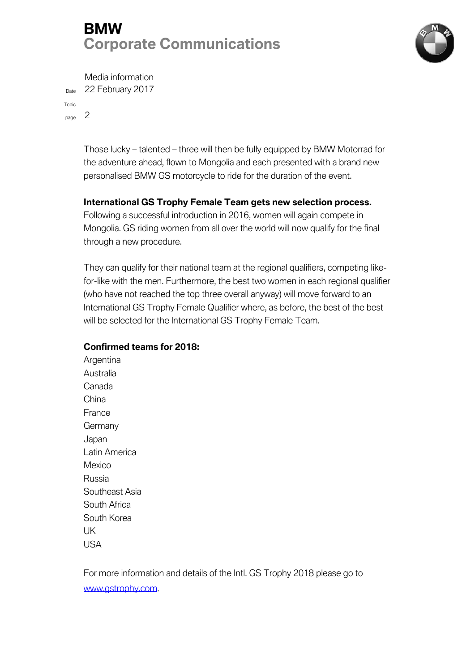# **BMW Corporate Communications**



Media information Date 22 February 2017

Topic

page 2

Those lucky – talented – three will then be fully equipped by BMW Motorrad for the adventure ahead, flown to Mongolia and each presented with a brand new personalised BMW GS motorcycle to ride for the duration of the event.

### **International GS Trophy Female Team gets new selection process.**

Following a successful introduction in 2016, women will again compete in Mongolia. GS riding women from all over the world will now qualify for the final through a new procedure.

They can qualify for their national team at the regional qualifiers, competing likefor-like with the men. Furthermore, the best two women in each regional qualifier (who have not reached the top three overall anyway) will move forward to an International GS Trophy Female Qualifier where, as before, the best of the best will be selected for the International GS Trophy Female Team.

#### **Confirmed teams for 2018:**

Argentina Australia Canada China France Germany Japan Latin America Mexico Russia Southeast Asia South Africa South Korea UK USA

For more information and details of the Intl. GS Trophy 2018 please go to [www.gstrophy.com.](http://www.gstrophy.com/)